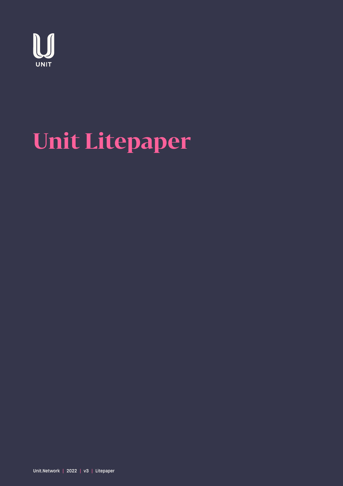

# **Unit Litepaper**

Unit.Network | 2022 | v3 | Litepaper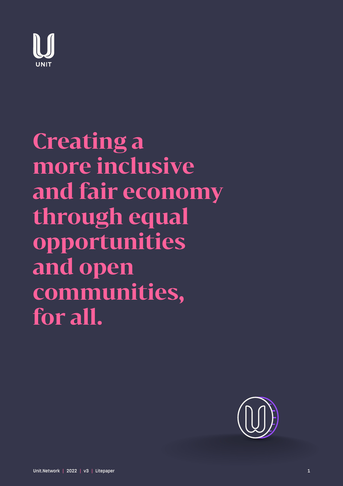

**Creating a more inclusive and fair economy through equal opportunities and open communities, for all.**

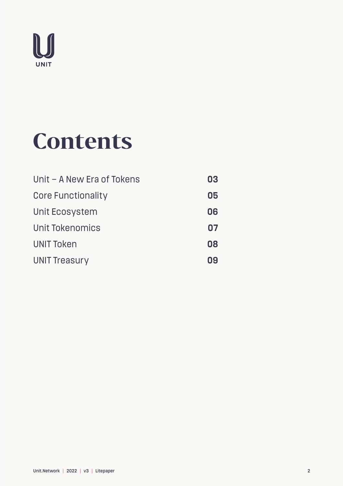

## **Contents**

| Unit - A New Era of Tokens | 03 |
|----------------------------|----|
| <b>Core Functionality</b>  | 05 |
| Unit Ecosystem             | 06 |
| Unit Tokenomics            | 07 |
| <b>UNIT Token</b>          | 08 |
| <b>UNIT Treasury</b>       | Ωg |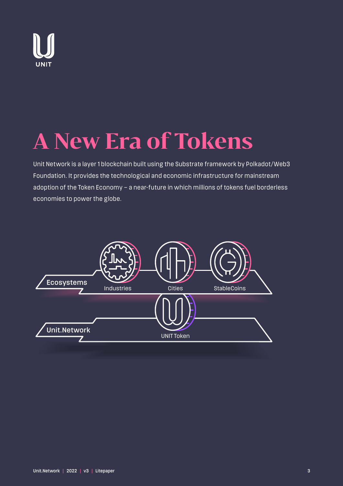

# **A New Era of Tokens**

Unit Network is a layer 1 blockchain built using the Substrate framework by Polkadot/Web3 Foundation. It provides the technological and economic infrastructure for mainstream adoption of the Token Economy – a near-future in which millions of tokens fuel borderless economies to power the globe.

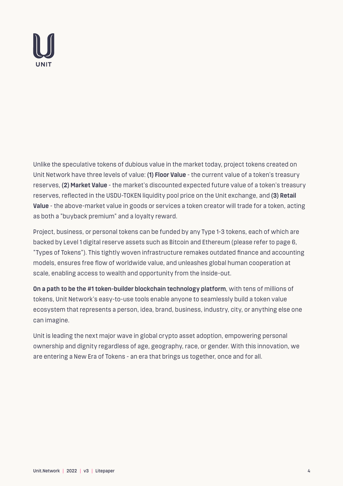

Unlike the speculative tokens of dubious value in the market today, project tokens created on Unit Network have three levels of value: **(1) Floor Value** - the current value of a token's treasury reserves, **(2) Market Value** - the market's discounted expected future value of a token's treasury reserves, reflected in the USDU-TOKEN liquidity pool price on the Unit exchange, and **(3) Retail Value** - the above-market value in goods or services a token creator will trade for a token, acting as both a "buyback premium" and a loyalty reward.

Project, business, or personal tokens can be funded by any Type 1-3 tokens, each of which are backed by Level 1 digital reserve assets such as Bitcoin and Ethereum (please refer to page 6, "Types of Tokens"). This tightly woven infrastructure remakes outdated finance and accounting models, ensures free flow of worldwide value, and unleashes global human cooperation at scale, enabling access to wealth and opportunity from the inside-out.

**On a path to be the #1 token-builder blockchain technology platform**, with tens of millions of tokens, Unit Network's easy-to-use tools enable anyone to seamlessly build a token value ecosystem that represents a person, idea, brand, business, industry, city, or anything else one can imagine.

Unit is leading the next major wave in global crypto asset adoption, empowering personal ownership and dignity regardless of age, geography, race, or gender. With this innovation, we are entering a New Era of Tokens - an era that brings us together, once and for all.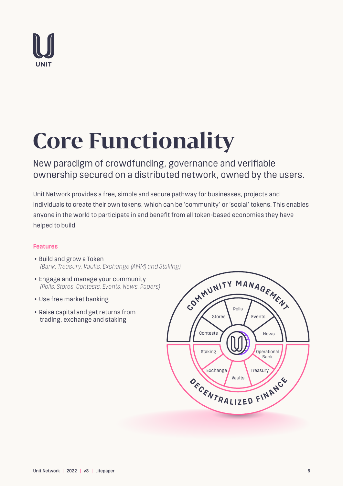

# **Core Functionality**

New paradigm of crowdfunding, governance and verifiable ownership secured on a distributed network, owned by the users.

Unit Network provides a free, simple and secure pathway for businesses, projects and individuals to create their own tokens, which can be 'community' or 'social' tokens. This enables anyone in the world to participate in and benefit from all token-based economies they have helped to build.

### **Features**

- Build and grow a Token  *(Bank, Treasury, Vaults, Exchange (AMM) and Staking)*
- Engage and manage your community  *(Polls, Stores, Contests, Events, News, Papers)*
- Use free market banking
- Raise capital and get returns from trading, exchange and staking

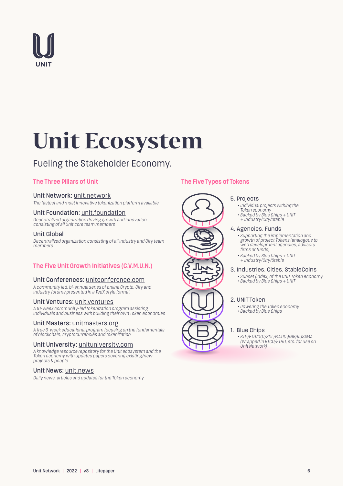

# **Unit Ecosystem**

## Fueling the Stakeholder Economy.

### **The Three Pillars of Unit**

#### Unit Network: unit.network

*The fastest and most innovative tokenization platform available*

#### Unit Foundation: unit.foundation

*Decentralized organization driving growth and innovation consisting of all Unit core team members*

#### Unit Global

*Decentralized organization consisting of all Industry and City team members*

### **The Five Unit Growth Initiatives (C.V.M.U.N.)**

#### Unit Conferences: unitconference.com

*A community led, bi-annual series of online Crypto, City and Industry forums presented in a TedX style format*

#### Unit Ventures: unit.ventures

*A 10-week community-led tokenization program assisting individuals and business with building their own Token economies*

#### Unit Masters: unitmasters.org

*A free 6-week educational program focusing on the fundamentals of blockchain, cryptocurrencies and tokenization*

#### Unit University: unituniversity.com

*A knowledge resource repository for the Unit ecosystem and the Token economy with updated papers covering existing/new projects & people*

#### Unit News: unit.news

*Daily news, articles and updates for the Token economy*

### **The Five Types of Tokens**

#### 5. Projects

- *Individual projects withing the*
- *Token economy • Backed by Blue Chips + UNIT*
- *+ Industry/City/Stable*

#### 4. Agencies, Funds

- *Supporting the implementation and growth of project Tokens (analogous to web development agencies, advisory firms or funds)*
	- *Backed by Blue Chips + UNIT + Industry/City/Stable*

#### 3. Industries, Cities, StableCoins

 *• Subset (index) of the UNIT Token economy • Backed by Blue Chips + UNIT*

#### 2. UNIT Token

- *Powering the Token economy*
- *Backed by Blue Chips*

#### 1. Blue Chips

 *• BTH/ETH/DOT/SOL/MATIC\BNB/KUSAMA (Wrapped in BTCU/ETHU, etc. for use on Unit Network)*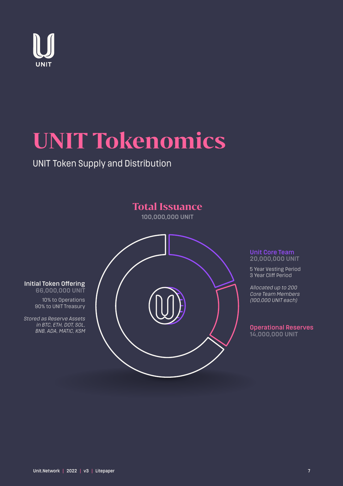

# **UNIT Tokenomics**

## UNIT Token Supply and Distribution



#### Unit Core Team 20,000,000 UNIT

5 Year Vesting Period 3 Year Cliff Period

*Allocated up to 200 Core Team Members (100,000 UNIT each)*

#### Operational Reserves 14,000,000 UNIT

#### Initial Token Offering 66,000,000 UNIT

10% to Operations

90% to UNIT Treasury

*Stored as Reserve Assets in BTC, ETH, DOT, SOL, BNB, ADA, MATIC, KSM*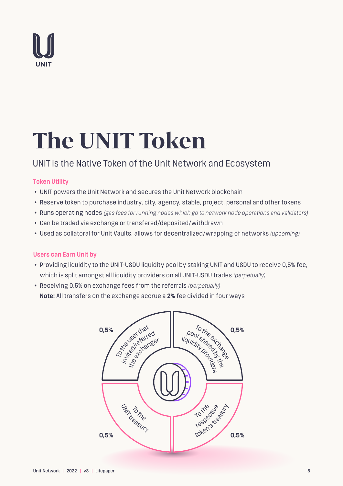

# **The UNIT Token**

### UNIT is the Native Token of the Unit Network and Ecosystem

### **Token Utility**

- UNIT powers the Unit Network and secures the Unit Network blockchain
- Reserve token to purchase industry, city, agency, stable, project, personal and other tokens
- Runs operating nodes *(gas fees for running nodes which go to network node operations and validators)*
- Can be traded via exchange or transfered/deposited/withdrawn
- Used as collatoral for Unit Vaults, allows for decentralized/wrapping of networks *(upcoming)*

### **Users can Earn Unit by**

- Providing liquidity to the UNIT-USDU liquidity pool by staking UNIT and USDU to receive 0,5% fee, which is split amongst all liquidity providers on all UNIT-USDU trades *(perpetually)*
- Receiving 0,5% on exchange fees from the referrals *(perpetually)* **Note:** All transfers on the exchange accrue a **2%** fee divided in four ways